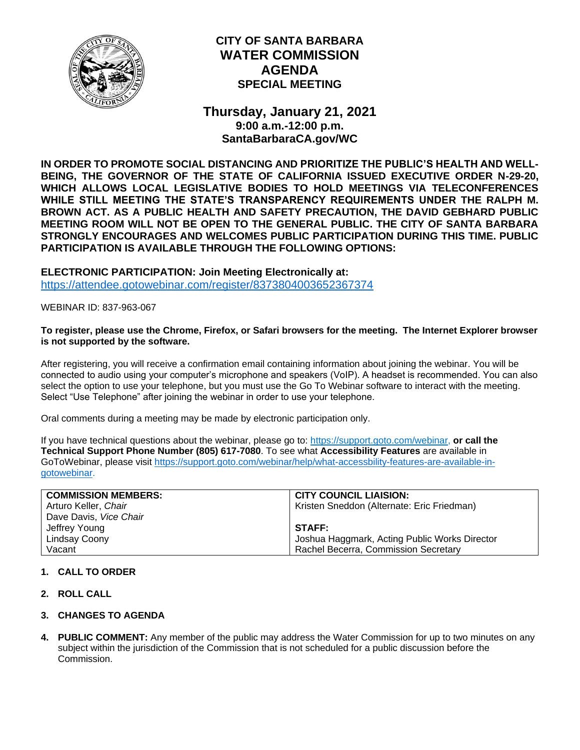

# **CITY OF SANTA BARBARA WATER COMMISSION AGENDA SPECIAL MEETING**

**Thursday, January 21, 2021 9:00 a.m.-12:00 p.m. SantaBarbaraCA.gov/WC**

**IN ORDER TO PROMOTE SOCIAL DISTANCING AND PRIORITIZE THE PUBLIC'S HEALTH AND WELL-BEING, THE GOVERNOR OF THE STATE OF CALIFORNIA ISSUED EXECUTIVE ORDER N-29-20, WHICH ALLOWS LOCAL LEGISLATIVE BODIES TO HOLD MEETINGS VIA TELECONFERENCES WHILE STILL MEETING THE STATE'S TRANSPARENCY REQUIREMENTS UNDER THE RALPH M. BROWN ACT. AS A PUBLIC HEALTH AND SAFETY PRECAUTION, THE DAVID GEBHARD PUBLIC MEETING ROOM WILL NOT BE OPEN TO THE GENERAL PUBLIC. THE CITY OF SANTA BARBARA STRONGLY ENCOURAGES AND WELCOMES PUBLIC PARTICIPATION DURING THIS TIME. PUBLIC PARTICIPATION IS AVAILABLE THROUGH THE FOLLOWING OPTIONS:**

**ELECTRONIC PARTICIPATION: Join Meeting Electronically at:** <https://attendee.gotowebinar.com/register/8373804003652367374>

WEBINAR ID: 837-963-067

#### **To register, please use the Chrome, Firefox, or Safari browsers for the meeting. The Internet Explorer browser is not supported by the software.**

After registering, you will receive a confirmation email containing information about joining the webinar. You will be connected to audio using your computer's microphone and speakers (VoIP). A headset is recommended. You can also select the option to use your telephone, but you must use the Go To Webinar software to interact with the meeting. Select "Use Telephone" after joining the webinar in order to use your telephone.

Oral comments during a meeting may be made by electronic participation only.

If you have technical questions about the webinar, please go to: [https://support.goto.com/webinar,](https://support.goto.com/webinar) **or call the Technical Support Phone Number (805) 617-7080**. To see what **Accessibility Features** are available in GoToWebinar, please visit [https://support.goto.com/webinar/help/what-accessbility-features-are-available-in](https://support.goto.com/webinar/help/what-accessbility-features-are-available-in-gotowebinar)[gotowebinar.](https://support.goto.com/webinar/help/what-accessbility-features-are-available-in-gotowebinar)

| <b>COMMISSION MEMBERS:</b> | <b>CITY COUNCIL LIAISION:</b>                 |
|----------------------------|-----------------------------------------------|
| Arturo Keller, Chair       | Kristen Sneddon (Alternate: Eric Friedman)    |
| Dave Davis, Vice Chair     |                                               |
| Jeffrey Young              | <b>STAFF:</b>                                 |
| Lindsay Coony              | Joshua Haggmark, Acting Public Works Director |
| Vacant                     | Rachel Becerra, Commission Secretary          |

# **1. CALL TO ORDER**

- **2. ROLL CALL**
- **3. CHANGES TO AGENDA**
- **4. PUBLIC COMMENT:** Any member of the public may address the Water Commission for up to two minutes on any subject within the jurisdiction of the Commission that is not scheduled for a public discussion before the Commission.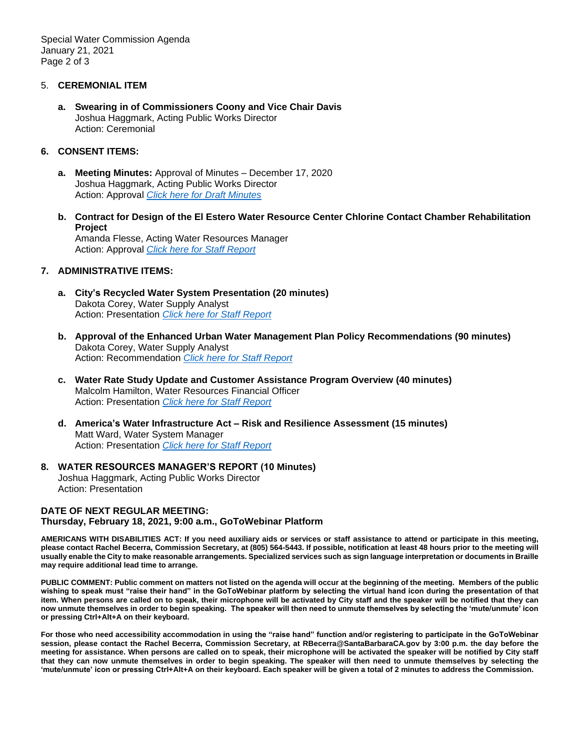Special Water Commission Agenda January 21, 2021 Page 2 of 3

### 5. **CEREMONIAL ITEM**

**a. Swearing in of Commissioners Coony and Vice Chair Davis** Joshua Haggmark, Acting Public Works Director Action: Ceremonial

## **6. CONSENT ITEMS:**

- **a. Meeting Minutes:** Approval of Minutes December 17, 2020 Joshua Haggmark, Acting Public Works Director Action: Approval *[Click here for Draft Minutes](https://www.santabarbaraca.gov/civicax/filebank/blobdload.aspx?BlobID=233390)*
- **b. Contract for Design of the El Estero Water Resource Center Chlorine Contact Chamber Rehabilitation Project** Amanda Flesse, Acting Water Resources Manager Action: Approval *[Click here for Staff Report](https://www.santabarbaraca.gov/civicax/filebank/blobdload.aspx?BlobID=233391)*

## **7. ADMINISTRATIVE ITEMS:**

- **a. City's Recycled Water System Presentation (20 minutes)** Dakota Corey, Water Supply Analyst Action: Presentation *[Click here for Staff Report](https://www.santabarbaraca.gov/civicax/filebank/blobdload.aspx?BlobID=233392)*
- **b. Approval of the Enhanced Urban Water Management Plan Policy Recommendations (90 minutes)** Dakota Corey, Water Supply Analyst Action: Recommendation *[Click here for Staff Report](https://www.santabarbaraca.gov/civicax/filebank/blobdload.aspx?BlobID=233393)*
- **c. Water Rate Study Update and Customer Assistance Program Overview (40 minutes)** Malcolm Hamilton, Water Resources Financial Officer Action: Presentation *[Click here for Staff Report](https://www.santabarbaraca.gov/civicax/filebank/blobdload.aspx?BlobID=233394)*
- **d. America's Water Infrastructure Act – Risk and Resilience Assessment (15 minutes)** Matt Ward, Water System Manager Action: Presentation *[Click here for Staff Report](https://www.santabarbaraca.gov/civicax/filebank/blobdload.aspx?BlobID=233395)*

# **8. WATER RESOURCES MANAGER'S REPORT (10 Minutes)**

Joshua Haggmark, Acting Public Works Director Action: Presentation

### **DATE OF NEXT REGULAR MEETING: Thursday, February 18, 2021, 9:00 a.m., GoToWebinar Platform**

**AMERICANS WITH DISABILITIES ACT: If you need auxiliary aids or services or staff assistance to attend or participate in this meeting, please contact Rachel Becerra, Commission Secretary, at (805) 564-5443. If possible, notification at least 48 hours prior to the meeting will usually enable the City to make reasonable arrangements. Specialized services such as sign language interpretation or documents in Braille may require additional lead time to arrange.**

**PUBLIC COMMENT: Public comment on matters not listed on the agenda will occur at the beginning of the meeting. Members of the public wishing to speak must "raise their hand" in the GoToWebinar platform by selecting the virtual hand icon during the presentation of that item. When persons are called on to speak, their microphone will be activated by City staff and the speaker will be notified that they can now unmute themselves in order to begin speaking. The speaker will then need to unmute themselves by selecting the 'mute/unmute' icon or pressing Ctrl+Alt+A on their keyboard.** 

**For those who need accessibility accommodation in using the "raise hand" function and/or registering to participate in the GoToWebinar session, please contact the Rachel Becerra, Commission Secretary, at RBecerra@SantaBarbaraCA.gov by 3:00 p.m. the day before the meeting for assistance. When persons are called on to speak, their microphone will be activated the speaker will be notified by City staff that they can now unmute themselves in order to begin speaking. The speaker will then need to unmute themselves by selecting the 'mute/unmute' icon or pressing Ctrl+Alt+A on their keyboard. Each speaker will be given a total of 2 minutes to address the Commission.**